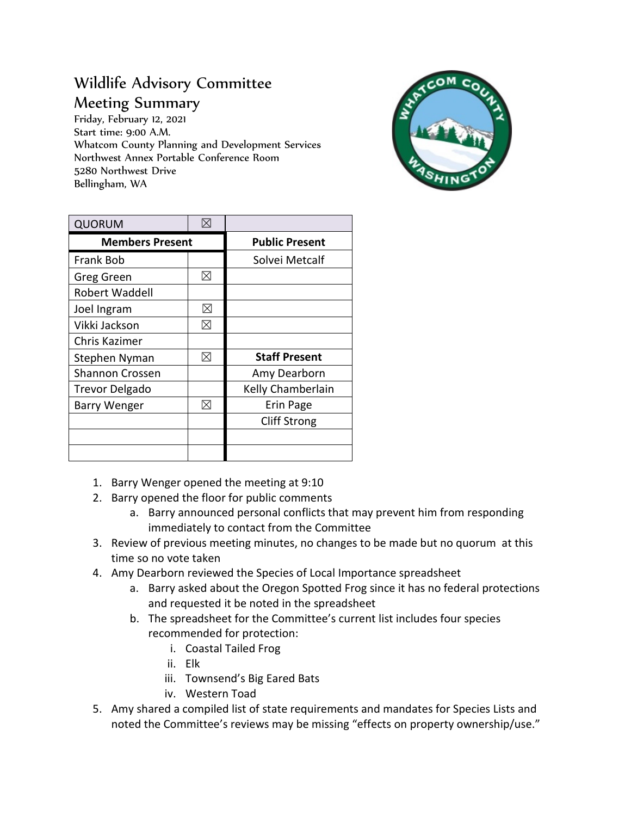## Wildlife Advisory Committee Meeting Summary

Friday, February 12, 2021 Start time: 9:00 A.M. Whatcom County Planning and Development Services Northwest Annex Portable Conference Room 5280 Northwest Drive Bellingham, WA



| <b>QUORUM</b>          | $\boxtimes$ |                       |
|------------------------|-------------|-----------------------|
| <b>Members Present</b> |             | <b>Public Present</b> |
| <b>Frank Bob</b>       |             | Solvei Metcalf        |
| Greg Green             | ⊠           |                       |
| <b>Robert Waddell</b>  |             |                       |
| Joel Ingram            | ⊠           |                       |
| Vikki Jackson          | ⊠           |                       |
| Chris Kazimer          |             |                       |
| Stephen Nyman          | ⊠           | <b>Staff Present</b>  |
| <b>Shannon Crossen</b> |             | Amy Dearborn          |
| <b>Trevor Delgado</b>  |             | Kelly Chamberlain     |
| Barry Wenger           | ⊠           | Erin Page             |
|                        |             | <b>Cliff Strong</b>   |
|                        |             |                       |
|                        |             |                       |

- 1. Barry Wenger opened the meeting at 9:10
- 2. Barry opened the floor for public comments
	- a. Barry announced personal conflicts that may prevent him from responding immediately to contact from the Committee
- 3. Review of previous meeting minutes, no changes to be made but no quorum at this time so no vote taken
- 4. Amy Dearborn reviewed the Species of Local Importance spreadsheet
	- a. Barry asked about the Oregon Spotted Frog since it has no federal protections and requested it be noted in the spreadsheet
	- b. The spreadsheet for the Committee's current list includes four species recommended for protection:
		- i. Coastal Tailed Frog
		- ii. Elk
		- iii. Townsend's Big Eared Bats
		- iv. Western Toad
- 5. Amy shared a compiled list of state requirements and mandates for Species Lists and noted the Committee's reviews may be missing "effects on property ownership/use."